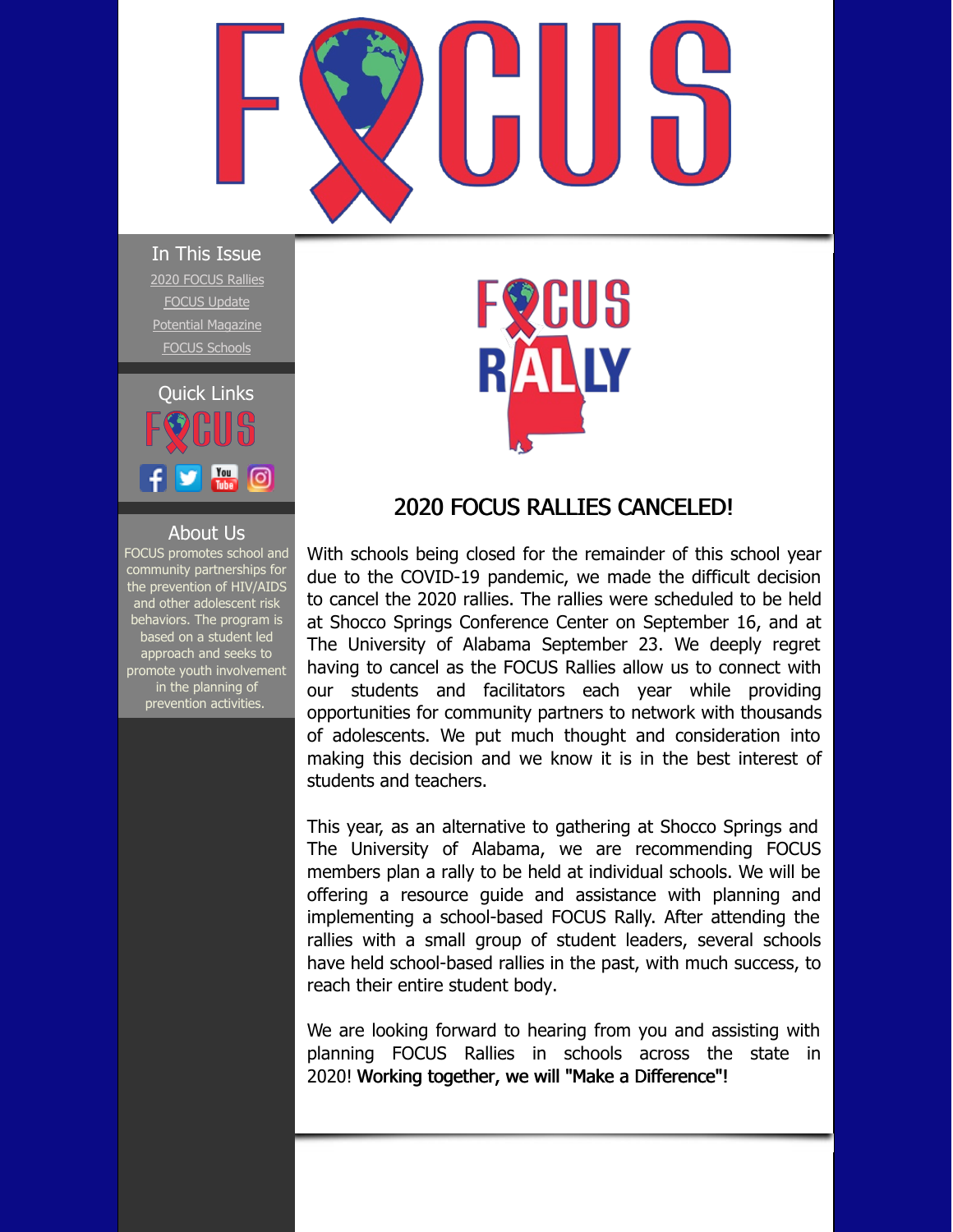<span id="page-0-0"></span>

In This Issue 2020 [FOCUS](#page-0-0) Rallies [FOCUS](#page-0-0) Update Potential [Magazine](#page-0-0) FOCUS [Schools](#page-0-0)



## About Us

FOCUS promotes school and community partnerships for the prevention of HIV/AIDS and other adolescent risk behaviors. The program is based on a student led approach and seeks to promote youth involvement in the planning of prevention activities.

## GUS

## 2020 FOCUS RALLIES CANCELED!

With schools being closed for the remainder of this school year due to the COVID-19 pandemic, we made the difficult decision to cancel the 2020 rallies. The rallies were scheduled to be held at Shocco Springs Conference Center on September 16, and at The University of Alabama September 23. We deeply regret having to cancel as the FOCUS Rallies allow us to connect with our students and facilitators each year while providing opportunities for community partners to network with thousands of adolescents. We put much thought and consideration into making this decision and we know it is in the best interest of students and teachers.

This year, as an alternative to gathering at Shocco Springs and The University of Alabama, we are recommending FOCUS members plan a rally to be held at individual schools. We will be offering a resource guide and assistance with planning and implementing a school-based FOCUS Rally. After attending the rallies with a small group of student leaders, several schools have held school-based rallies in the past, with much success, to reach their entire student body.

We are looking forward to hearing from you and assisting with planning FOCUS Rallies in schools across the state in 2020! Working together, we will "Make a Difference"!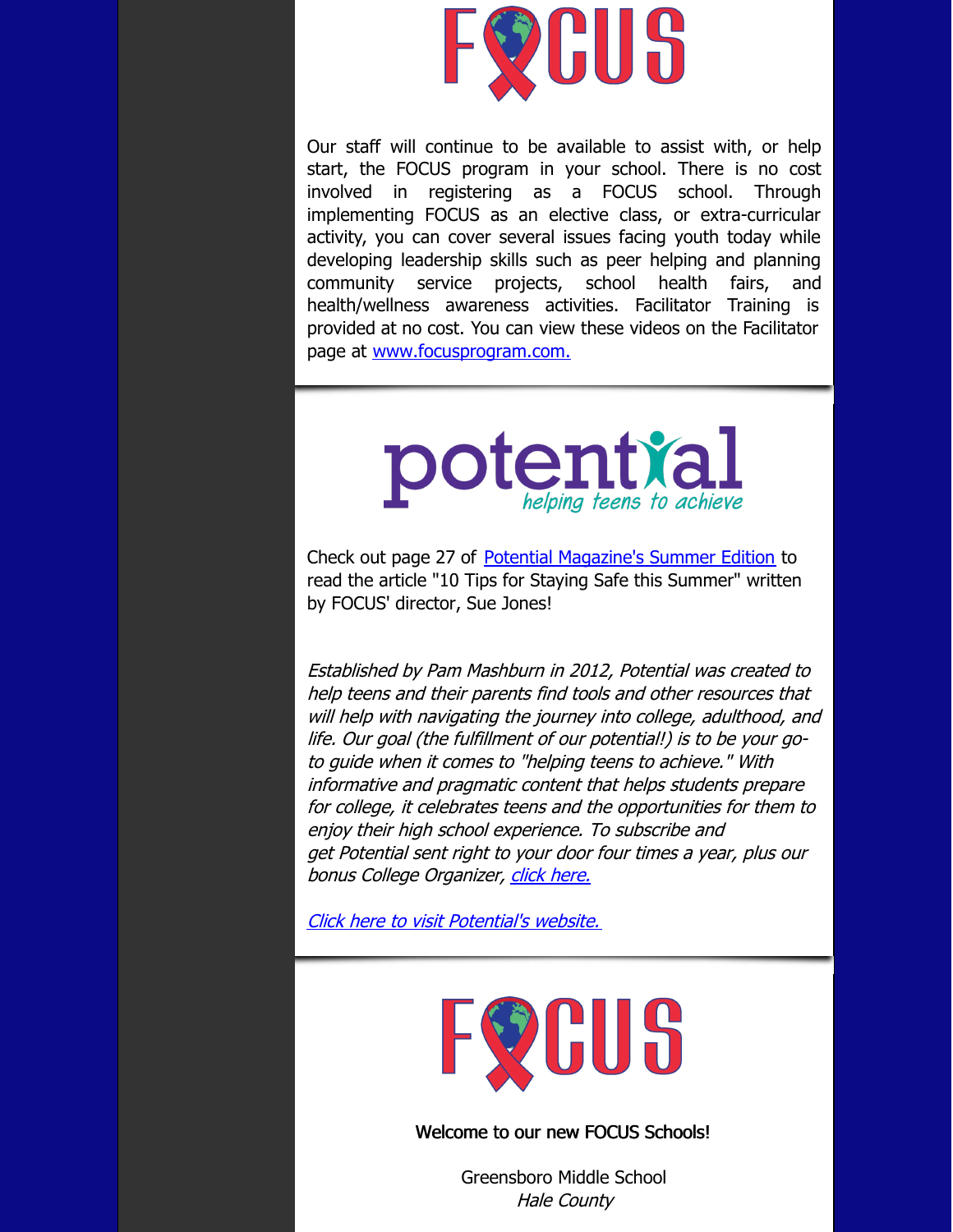

Our staff will continue to be available to assist with, or help start, the FOCUS program in your school. There is no cost involved in registering as a FOCUS school. Through implementing FOCUS as an elective class, or extra-curricular activity, you can cover several issues facing youth today while developing leadership skills such as peer helping and planning community service projects, school health fairs, and health/wellness awareness activities. Facilitator Training is provided at no cost. You can view these videos on the Facilitator page at [www.focusprogram.com.](http://www.focusprogram.com)



Check out page 27 of Potential [Magazine's](https://joom.ag/LAYC) Summer Edition to read the article "10 Tips for Staying Safe this Summer" written by FOCUS' director, Sue Jones!

Established by Pam Mashburn in 2012, Potential was created to help teens and their parents find tools and other resources that will help with navigating the journey into college, adulthood, and life. Our goal (the fulfillment of our potential!) is to be your goto guide when it comes to "helping teens to achieve." With informative and pragmatic content that helps students prepare for college, it celebrates teens and the opportunities for them to enjoy their high school experience. To subscribe and get Potential sent right to your door four times <sup>a</sup> year, plus our bonus College Organizer, [click](http://www.potentialmagazine.com/subscribe/) here.

Click here to visit [Potential's](https://www.potentialmagazine.com/) website.



Welcome to our new FOCUS Schools!

Greensboro Middle School Hale County